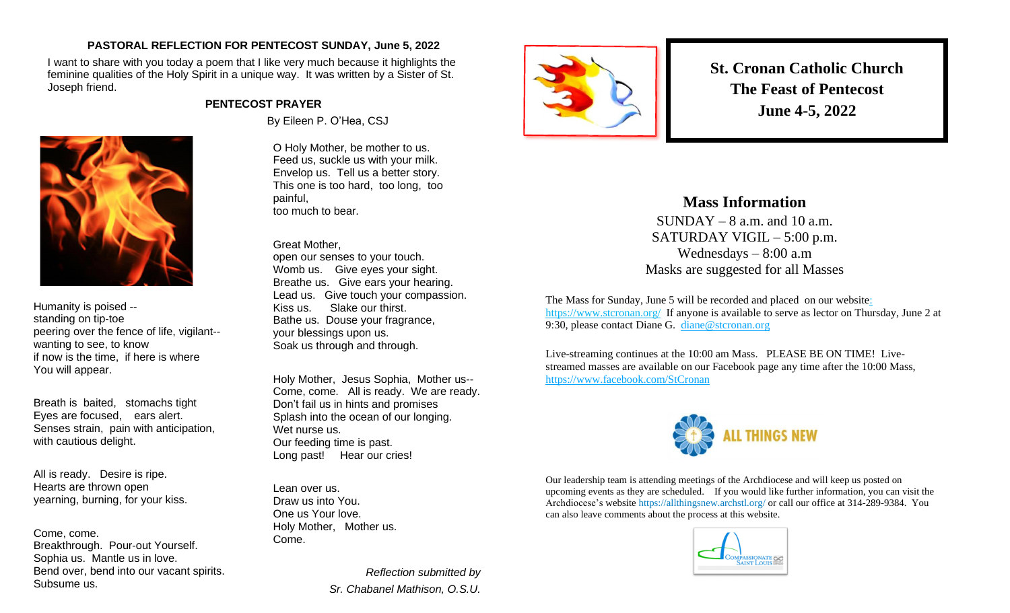## **PASTORAL REFLECTION FOR PENTECOST SUNDAY, June 5, 2022**

I want to share with you today a poem that I like very much because it highlights the feminine qualities of the Holy Spirit in a unique way. It was written by a Sister of St. Joseph friend.

## **PENTECOST PRAYER**



Humanity is poised - standing on tip-toe peering over the fence of life, vigilant- wanting to see, to know if now is the time, if here is where You will appear.

Breath is baited, stomachs tight Eyes are focused, ears alert. Senses strain, pain with anticipation, with cautious delight.

All is ready. Desire is ripe. Hearts are thrown open yearning, burning, for your kiss.

Come, come. Breakthrough. Pour-out Yourself. Sophia us. Mantle us in love. Bend over, bend into our vacant spirits. Subsume us.

By Eileen P. O'Hea, CSJ

O Holy Mother, be mother to us. Feed us, suckle us with your milk. Envelop us. Tell us a better story. This one is too hard, too long, too painful, too much to bear.

Great Mother, open our senses to your touch. Womb us. Give eyes your sight. Breathe us. Give ears your hearing. Lead us. Give touch your compassion. Kiss us. Slake our thirst. Bathe us. Douse your fragrance, your blessings upon us. Soak us through and through.

Holy Mother, Jesus Sophia, Mother us-- Come, come. All is ready. We are ready. Don't fail us in hints and promises Splash into the ocean of our longing. Wet nurse us. Our feeding time is past. Long past! Hear our cries!

Lean over us. Draw us into You. One us Your love. Holy Mother, Mother us. Come.

> *Reflection submitted by Sr. Chabanel Mathison, O.S.U.*



**St. Cronan Catholic Church The Feast of Pentecost June 4-5, 2022**

## **Mass Information**

 $SUNDAY - 8$  a.m. and 10 a.m. SATURDAY VIGIL – 5:00 p.m. Wednesdays – 8:00 a.m Masks are suggested for all Masses

The Mass for Sunday, June 5 will be recorded and placed on our websit[e:](https://d.docs.live.net/e2a01ffbd4eb3572/Documents/Monday%20Notes/:%20%20https:/www.stcronan.org/)  [https://www.stcronan.org/](https://d.docs.live.net/e2a01ffbd4eb3572/Documents/Monday%20Notes/:%20%20https:/www.stcronan.org/) If anyone is available to serve as lector on Thursday, June 2 at 9:30, please contact Diane G. [diane@stcronan.org](mailto:diane@stcronan.org)

Live-streaming continues at the 10:00 am Mass. PLEASE BE ON TIME! Livestreamed masses are available on our Facebook page any time after the 10:00 Mass, <https://www.facebook.com/StCronan>



Our leadership team is attending meetings of the Archdiocese and will keep us posted on upcoming events as they are scheduled. If you would like further information, you can visit the Archdiocese's website <https://allthingsnew.archstl.org/> or call our office at 314-289-9384. You can also leave comments about the process at this website.